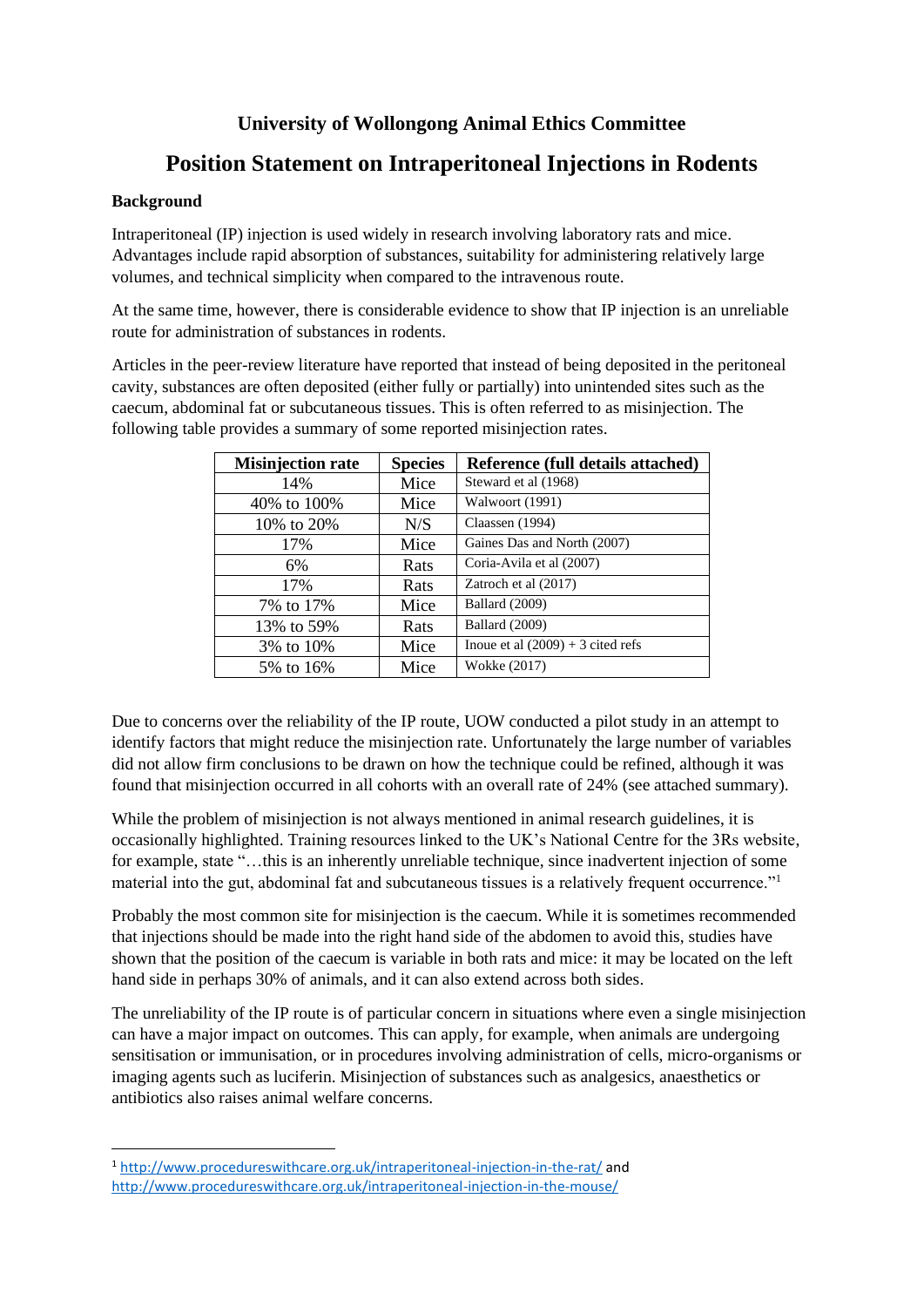### **University of Wollongong Animal Ethics Committee**

## **Position Statement on Intraperitoneal Injections in Rodents**

#### **Background**

Intraperitoneal (IP) injection is used widely in research involving laboratory rats and mice. Advantages include rapid absorption of substances, suitability for administering relatively large volumes, and technical simplicity when compared to the intravenous route.

At the same time, however, there is considerable evidence to show that IP injection is an unreliable route for administration of substances in rodents.

Articles in the peer-review literature have reported that instead of being deposited in the peritoneal cavity, substances are often deposited (either fully or partially) into unintended sites such as the caecum, abdominal fat or subcutaneous tissues. This is often referred to as misinjection. The following table provides a summary of some reported misinjection rates.

| <b>Misinjection rate</b> | <b>Species</b> | Reference (full details attached)   |
|--------------------------|----------------|-------------------------------------|
| 14%                      | Mice           | Steward et al (1968)                |
| 40% to 100%              | Mice           | Walwoort (1991)                     |
| 10\% to 20\%             | N/S            | Claassen (1994)                     |
| 17%                      | Mice           | Gaines Das and North (2007)         |
| 6%                       | Rats           | Coria-Avila et al (2007)            |
| 17%                      | Rats           | Zatroch et al (2017)                |
| 7% to 17%                | Mice           | Ballard (2009)                      |
| 13% to 59%               | Rats           | Ballard (2009)                      |
| 3% to 10%                | Mice           | Inoue et al $(2009) + 3$ cited refs |
| 5% to 16%                | Mice           | Wokke (2017)                        |

Due to concerns over the reliability of the IP route, UOW conducted a pilot study in an attempt to identify factors that might reduce the misinjection rate. Unfortunately the large number of variables did not allow firm conclusions to be drawn on how the technique could be refined, although it was found that misinjection occurred in all cohorts with an overall rate of 24% (see attached summary).

While the problem of misinjection is not always mentioned in animal research guidelines, it is occasionally highlighted. Training resources linked to the UK's National Centre for the 3Rs website, for example, state "…this is an inherently unreliable technique, since inadvertent injection of some material into the gut, abdominal fat and subcutaneous tissues is a relatively frequent occurrence."<sup>1</sup>

Probably the most common site for misinjection is the caecum. While it is sometimes recommended that injections should be made into the right hand side of the abdomen to avoid this, studies have shown that the position of the caecum is variable in both rats and mice: it may be located on the left hand side in perhaps 30% of animals, and it can also extend across both sides.

The unreliability of the IP route is of particular concern in situations where even a single misinjection can have a major impact on outcomes. This can apply, for example, when animals are undergoing sensitisation or immunisation, or in procedures involving administration of cells, micro-organisms or imaging agents such as luciferin. Misinjection of substances such as analgesics, anaesthetics or antibiotics also raises animal welfare concerns.

<sup>1</sup> <http://www.procedureswithcare.org.uk/intraperitoneal-injection-in-the-rat/> and <http://www.procedureswithcare.org.uk/intraperitoneal-injection-in-the-mouse/>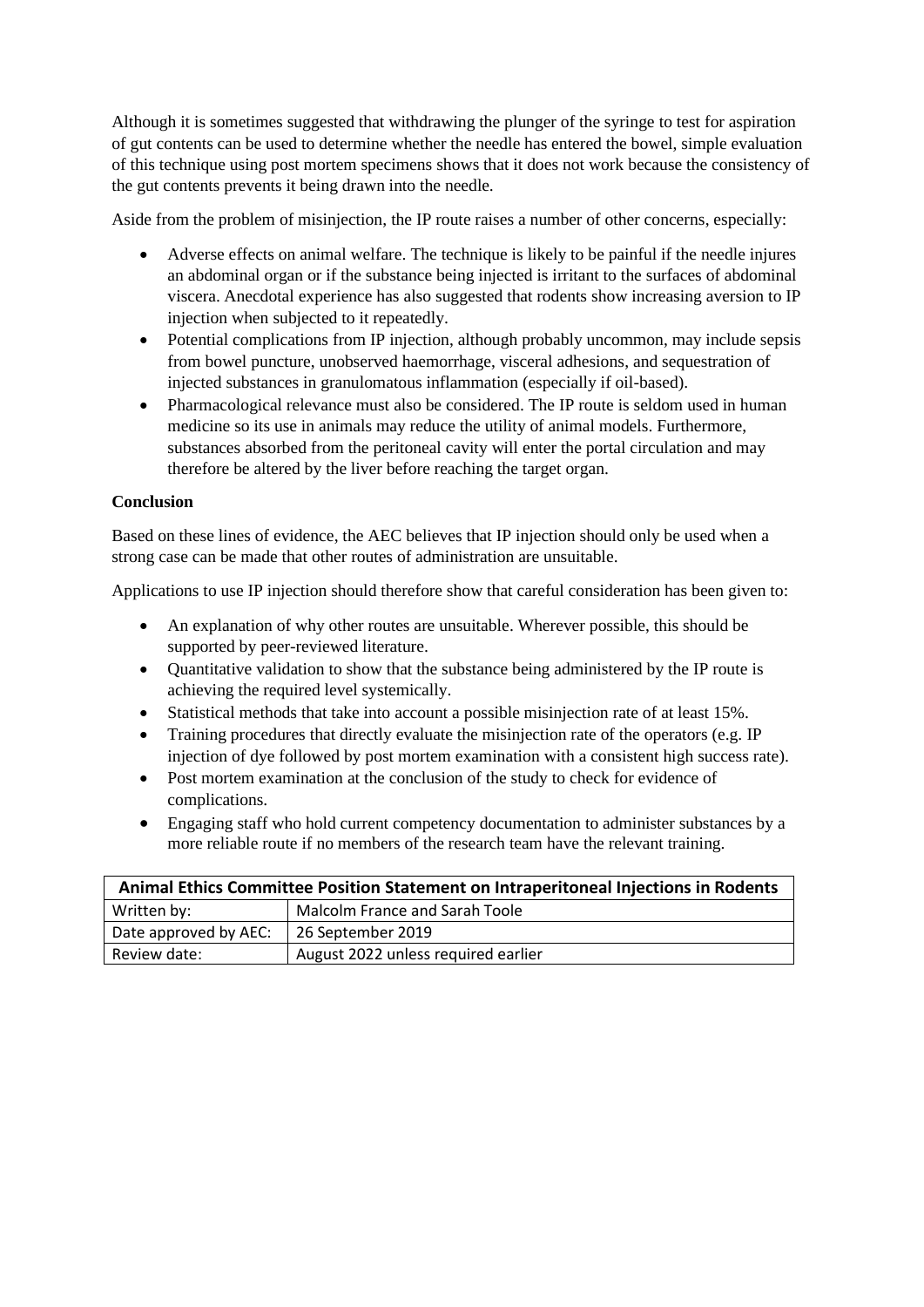Although it is sometimes suggested that withdrawing the plunger of the syringe to test for aspiration of gut contents can be used to determine whether the needle has entered the bowel, simple evaluation of this technique using post mortem specimens shows that it does not work because the consistency of the gut contents prevents it being drawn into the needle.

Aside from the problem of misinjection, the IP route raises a number of other concerns, especially:

- Adverse effects on animal welfare. The technique is likely to be painful if the needle injures an abdominal organ or if the substance being injected is irritant to the surfaces of abdominal viscera. Anecdotal experience has also suggested that rodents show increasing aversion to IP injection when subjected to it repeatedly.
- Potential complications from IP injection, although probably uncommon, may include sepsis from bowel puncture, unobserved haemorrhage, visceral adhesions, and sequestration of injected substances in granulomatous inflammation (especially if oil-based).
- Pharmacological relevance must also be considered. The IP route is seldom used in human medicine so its use in animals may reduce the utility of animal models. Furthermore, substances absorbed from the peritoneal cavity will enter the portal circulation and may therefore be altered by the liver before reaching the target organ.

#### **Conclusion**

Based on these lines of evidence, the AEC believes that IP injection should only be used when a strong case can be made that other routes of administration are unsuitable.

Applications to use IP injection should therefore show that careful consideration has been given to:

- An explanation of why other routes are unsuitable. Wherever possible, this should be supported by peer-reviewed literature.
- Quantitative validation to show that the substance being administered by the IP route is achieving the required level systemically.
- Statistical methods that take into account a possible misinjection rate of at least 15%.
- Training procedures that directly evaluate the misinjection rate of the operators (e.g. IP injection of dye followed by post mortem examination with a consistent high success rate).
- Post mortem examination at the conclusion of the study to check for evidence of complications.
- Engaging staff who hold current competency documentation to administer substances by a more reliable route if no members of the research team have the relevant training.

| Animal Ethics Committee Position Statement on Intraperitoneal Injections in Rodents |                                     |  |  |  |
|-------------------------------------------------------------------------------------|-------------------------------------|--|--|--|
| Written by:                                                                         | Malcolm France and Sarah Toole      |  |  |  |
| Date approved by AEC:                                                               | 26 September 2019                   |  |  |  |
| Review date:                                                                        | August 2022 unless required earlier |  |  |  |